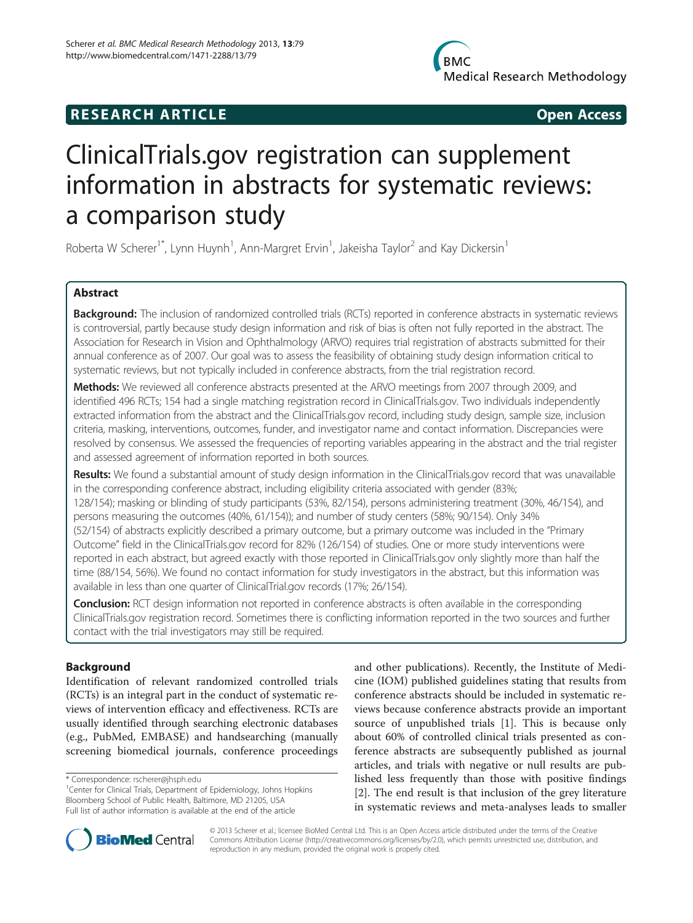# **RESEARCH ARTICLE Example 2014 12:30 The SEAR CHA RTICLE**

# ClinicalTrials.gov registration can supplement information in abstracts for systematic reviews: a comparison study

Roberta W Scherer<sup>1\*</sup>, Lynn Huynh<sup>1</sup>, Ann-Margret Ervin<sup>1</sup>, Jakeisha Taylor<sup>2</sup> and Kay Dickersin<sup>1</sup>

# Abstract

Background: The inclusion of randomized controlled trials (RCTs) reported in conference abstracts in systematic reviews is controversial, partly because study design information and risk of bias is often not fully reported in the abstract. The Association for Research in Vision and Ophthalmology (ARVO) requires trial registration of abstracts submitted for their annual conference as of 2007. Our goal was to assess the feasibility of obtaining study design information critical to systematic reviews, but not typically included in conference abstracts, from the trial registration record.

Methods: We reviewed all conference abstracts presented at the ARVO meetings from 2007 through 2009, and identified 496 RCTs; 154 had a single matching registration record in ClinicalTrials.gov. Two individuals independently extracted information from the abstract and the ClinicalTrials.gov record, including study design, sample size, inclusion criteria, masking, interventions, outcomes, funder, and investigator name and contact information. Discrepancies were resolved by consensus. We assessed the frequencies of reporting variables appearing in the abstract and the trial register and assessed agreement of information reported in both sources.

Results: We found a substantial amount of study design information in the ClinicalTrials.gov record that was unavailable in the corresponding conference abstract, including eligibility criteria associated with gender (83%; 128/154); masking or blinding of study participants (53%, 82/154), persons administering treatment (30%, 46/154), and persons measuring the outcomes (40%, 61/154)); and number of study centers (58%; 90/154). Only 34% (52/154) of abstracts explicitly described a primary outcome, but a primary outcome was included in the "Primary Outcome" field in the ClinicalTrials.gov record for 82% (126/154) of studies. One or more study interventions were reported in each abstract, but agreed exactly with those reported in ClinicalTrials.gov only slightly more than half the time (88/154, 56%). We found no contact information for study investigators in the abstract, but this information was available in less than one quarter of ClinicalTrial.gov records (17%; 26/154).

**Conclusion:** RCT design information not reported in conference abstracts is often available in the corresponding ClinicalTrials.gov registration record. Sometimes there is conflicting information reported in the two sources and further contact with the trial investigators may still be required.

# Background

Identification of relevant randomized controlled trials (RCTs) is an integral part in the conduct of systematic reviews of intervention efficacy and effectiveness. RCTs are usually identified through searching electronic databases (e.g., PubMed, EMBASE) and handsearching (manually screening biomedical journals, conference proceedings

and other publications). Recently, the Institute of Medicine (IOM) published guidelines stating that results from conference abstracts should be included in systematic reviews because conference abstracts provide an important source of unpublished trials [[1\]](#page-7-0). This is because only about 60% of controlled clinical trials presented as conference abstracts are subsequently published as journal articles, and trials with negative or null results are published less frequently than those with positive findings [[2\]](#page-7-0). The end result is that inclusion of the grey literature in systematic reviews and meta-analyses leads to smaller



© 2013 Scherer et al.; licensee BioMed Central Ltd. This is an Open Access article distributed under the terms of the Creative Commons Attribution License [\(http://creativecommons.org/licenses/by/2.0\)](http://creativecommons.org/licenses/by/2.0), which permits unrestricted use, distribution, and reproduction in any medium, provided the original work is properly cited.

<sup>\*</sup> Correspondence: [rscherer@jhsph.edu](mailto:rscherer@jhsph.edu) <sup>1</sup>

<sup>&</sup>lt;sup>1</sup> Center for Clinical Trials, Department of Epidemiology, Johns Hopkins Bloomberg School of Public Health, Baltimore, MD 21205, USA Full list of author information is available at the end of the article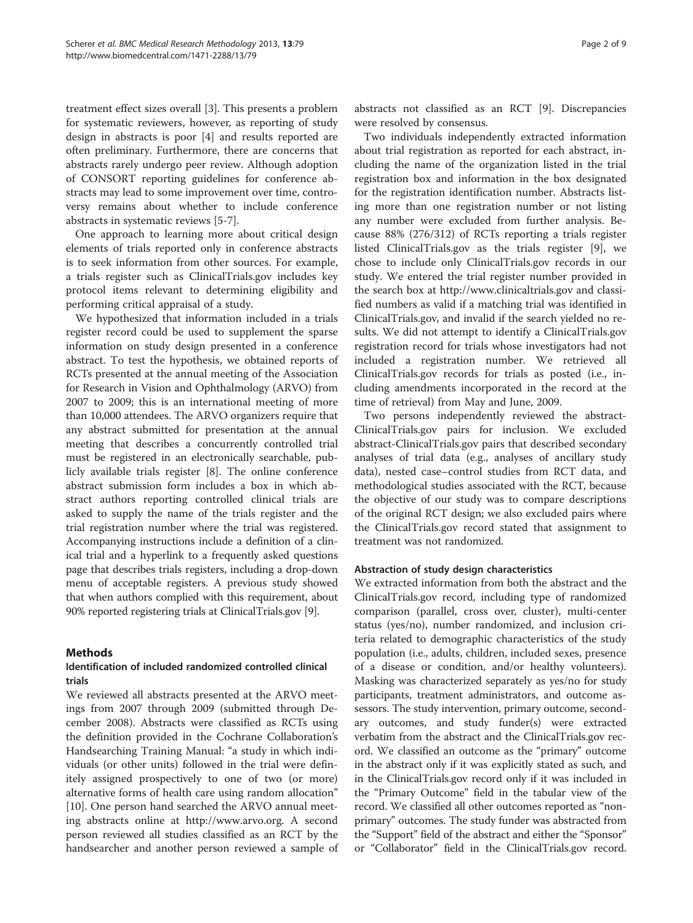treatment effect sizes overall [[3\]](#page-7-0). This presents a problem for systematic reviewers, however, as reporting of study design in abstracts is poor [\[4](#page-7-0)] and results reported are often preliminary. Furthermore, there are concerns that abstracts rarely undergo peer review. Although adoption of CONSORT reporting guidelines for conference abstracts may lead to some improvement over time, controversy remains about whether to include conference abstracts in systematic reviews [[5](#page-7-0)[-7](#page-8-0)].

One approach to learning more about critical design elements of trials reported only in conference abstracts is to seek information from other sources. For example, a trials register such as ClinicalTrials.gov includes key protocol items relevant to determining eligibility and performing critical appraisal of a study.

We hypothesized that information included in a trials register record could be used to supplement the sparse information on study design presented in a conference abstract. To test the hypothesis, we obtained reports of RCTs presented at the annual meeting of the Association for Research in Vision and Ophthalmology (ARVO) from 2007 to 2009; this is an international meeting of more than 10,000 attendees. The ARVO organizers require that any abstract submitted for presentation at the annual meeting that describes a concurrently controlled trial must be registered in an electronically searchable, publicly available trials register [\[8](#page-8-0)]. The online conference abstract submission form includes a box in which abstract authors reporting controlled clinical trials are asked to supply the name of the trials register and the trial registration number where the trial was registered. Accompanying instructions include a definition of a clinical trial and a hyperlink to a frequently asked questions page that describes trials registers, including a drop-down menu of acceptable registers. A previous study showed that when authors complied with this requirement, about 90% reported registering trials at ClinicalTrials.gov [[9\]](#page-8-0).

# Methods

## Identification of included randomized controlled clinical trials

We reviewed all abstracts presented at the ARVO meetings from 2007 through 2009 (submitted through December 2008). Abstracts were classified as RCTs using the definition provided in the Cochrane Collaboration's Handsearching Training Manual: "a study in which individuals (or other units) followed in the trial were definitely assigned prospectively to one of two (or more) alternative forms of health care using random allocation" [[10\]](#page-8-0). One person hand searched the ARVO annual meeting abstracts online at http://www.arvo.org. A second person reviewed all studies classified as an RCT by the handsearcher and another person reviewed a sample of

abstracts not classified as an RCT [\[9](#page-8-0)]. Discrepancies were resolved by consensus.

Two individuals independently extracted information about trial registration as reported for each abstract, including the name of the organization listed in the trial registration box and information in the box designated for the registration identification number. Abstracts listing more than one registration number or not listing any number were excluded from further analysis. Because 88% (276/312) of RCTs reporting a trials register listed ClinicalTrials.gov as the trials register [[9\]](#page-8-0), we chose to include only ClinicalTrials.gov records in our study. We entered the trial register number provided in the search box at<http://www.clinicaltrials.gov> and classified numbers as valid if a matching trial was identified in ClinicalTrials.gov, and invalid if the search yielded no results. We did not attempt to identify a ClinicalTrials.gov registration record for trials whose investigators had not included a registration number. We retrieved all ClinicalTrials.gov records for trials as posted (i.e., including amendments incorporated in the record at the time of retrieval) from May and June, 2009.

Two persons independently reviewed the abstract-ClinicalTrials.gov pairs for inclusion. We excluded abstract-ClinicalTrials.gov pairs that described secondary analyses of trial data (e.g., analyses of ancillary study data), nested case–control studies from RCT data, and methodological studies associated with the RCT, because the objective of our study was to compare descriptions of the original RCT design; we also excluded pairs where the ClinicalTrials.gov record stated that assignment to treatment was not randomized.

## Abstraction of study design characteristics

We extracted information from both the abstract and the ClinicalTrials.gov record, including type of randomized comparison (parallel, cross over, cluster), multi-center status (yes/no), number randomized, and inclusion criteria related to demographic characteristics of the study population (i.e., adults, children, included sexes, presence of a disease or condition, and/or healthy volunteers). Masking was characterized separately as yes/no for study participants, treatment administrators, and outcome assessors. The study intervention, primary outcome, secondary outcomes, and study funder(s) were extracted verbatim from the abstract and the ClinicalTrials.gov record. We classified an outcome as the "primary" outcome in the abstract only if it was explicitly stated as such, and in the ClinicalTrials.gov record only if it was included in the "Primary Outcome" field in the tabular view of the record. We classified all other outcomes reported as "nonprimary" outcomes. The study funder was abstracted from the "Support" field of the abstract and either the "Sponsor" or "Collaborator" field in the ClinicalTrials.gov record.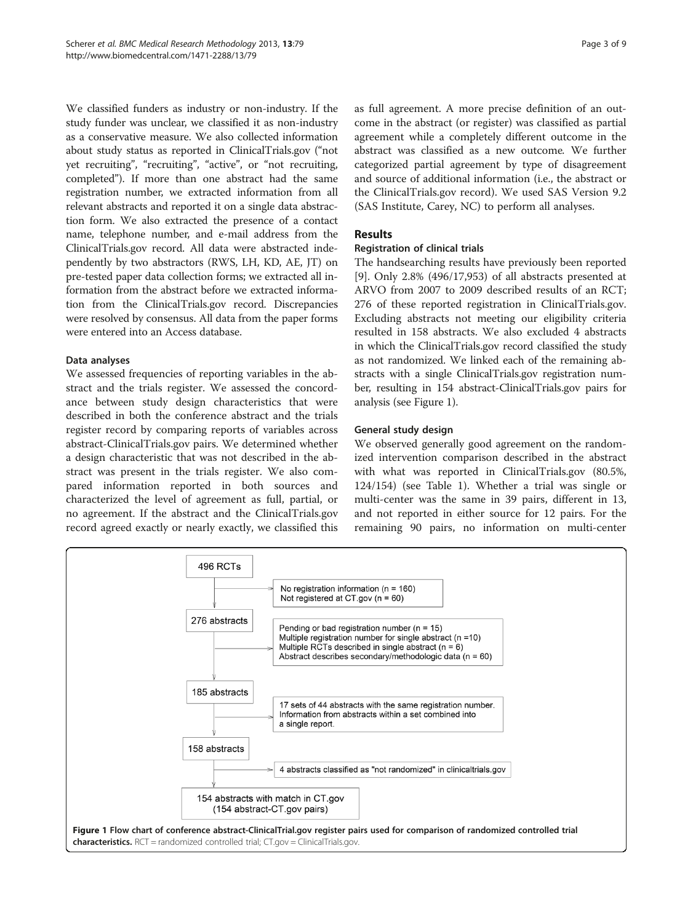We classified funders as industry or non-industry. If the study funder was unclear, we classified it as non-industry as a conservative measure. We also collected information about study status as reported in ClinicalTrials.gov ("not yet recruiting", "recruiting", "active", or "not recruiting, completed"). If more than one abstract had the same registration number, we extracted information from all relevant abstracts and reported it on a single data abstraction form. We also extracted the presence of a contact name, telephone number, and e-mail address from the ClinicalTrials.gov record. All data were abstracted independently by two abstractors (RWS, LH, KD, AE, JT) on pre-tested paper data collection forms; we extracted all information from the abstract before we extracted information from the ClinicalTrials.gov record. Discrepancies were resolved by consensus. All data from the paper forms were entered into an Access database.

## Data analyses

We assessed frequencies of reporting variables in the abstract and the trials register. We assessed the concordance between study design characteristics that were described in both the conference abstract and the trials register record by comparing reports of variables across abstract-ClinicalTrials.gov pairs. We determined whether a design characteristic that was not described in the abstract was present in the trials register. We also compared information reported in both sources and characterized the level of agreement as full, partial, or no agreement. If the abstract and the ClinicalTrials.gov record agreed exactly or nearly exactly, we classified this as full agreement. A more precise definition of an outcome in the abstract (or register) was classified as partial agreement while a completely different outcome in the abstract was classified as a new outcome. We further categorized partial agreement by type of disagreement and source of additional information (i.e., the abstract or the ClinicalTrials.gov record). We used SAS Version 9.2 (SAS Institute, Carey, NC) to perform all analyses.

# Results

## Registration of clinical trials

The handsearching results have previously been reported [[9\]](#page-8-0). Only 2.8% (496/17,953) of all abstracts presented at ARVO from 2007 to 2009 described results of an RCT; 276 of these reported registration in ClinicalTrials.gov. Excluding abstracts not meeting our eligibility criteria resulted in 158 abstracts. We also excluded 4 abstracts in which the ClinicalTrials.gov record classified the study as not randomized. We linked each of the remaining abstracts with a single ClinicalTrials.gov registration number, resulting in 154 abstract-ClinicalTrials.gov pairs for analysis (see Figure 1).

# General study design

We observed generally good agreement on the randomized intervention comparison described in the abstract with what was reported in ClinicalTrials.gov (80.5%, 124/154) (see Table [1](#page-3-0)). Whether a trial was single or multi-center was the same in 39 pairs, different in 13, and not reported in either source for 12 pairs. For the remaining 90 pairs, no information on multi-center

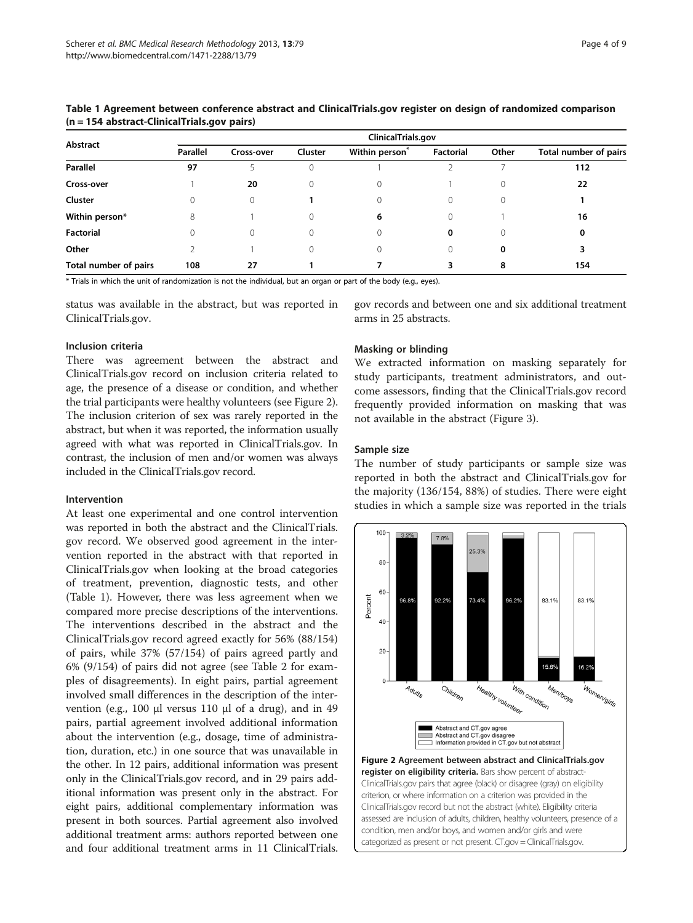| Abstract              | ClinicalTrials.gov |            |         |                            |                  |          |                       |
|-----------------------|--------------------|------------|---------|----------------------------|------------------|----------|-----------------------|
|                       | <b>Parallel</b>    | Cross-over | Cluster | Within person <sup>®</sup> | <b>Factorial</b> | Other    | Total number of pairs |
| Parallel              | 97                 |            |         |                            |                  |          | 112                   |
| Cross-over            |                    | 20         |         |                            |                  | 0        | 22                    |
| Cluster               | 0                  | 0          |         |                            | $\Omega$         | $\Omega$ |                       |
| Within person*        | 8                  |            |         | 6                          | $\Omega$         |          | 16                    |
| Factorial             | 0                  | 0          | $\circ$ |                            | 0                | 0        | 0                     |
| Other                 |                    |            |         |                            | $\Omega$         | 0        |                       |
| Total number of pairs | 108                | 27         |         |                            |                  | 8        | 154                   |

<span id="page-3-0"></span>Table 1 Agreement between conference abstract and ClinicalTrials.gov register on design of randomized comparison (n = 154 abstract-ClinicalTrials.gov pairs)

\* Trials in which the unit of randomization is not the individual, but an organ or part of the body (e.g., eyes).

status was available in the abstract, but was reported in ClinicalTrials.gov.

#### Inclusion criteria

There was agreement between the abstract and ClinicalTrials.gov record on inclusion criteria related to age, the presence of a disease or condition, and whether the trial participants were healthy volunteers (see Figure 2). The inclusion criterion of sex was rarely reported in the abstract, but when it was reported, the information usually agreed with what was reported in ClinicalTrials.gov. In contrast, the inclusion of men and/or women was always included in the ClinicalTrials.gov record.

#### Intervention

At least one experimental and one control intervention was reported in both the abstract and the ClinicalTrials. gov record. We observed good agreement in the intervention reported in the abstract with that reported in ClinicalTrials.gov when looking at the broad categories of treatment, prevention, diagnostic tests, and other (Table 1). However, there was less agreement when we compared more precise descriptions of the interventions. The interventions described in the abstract and the ClinicalTrials.gov record agreed exactly for 56% (88/154) of pairs, while 37% (57/154) of pairs agreed partly and 6% (9/154) of pairs did not agree (see Table [2](#page-4-0) for examples of disagreements). In eight pairs, partial agreement involved small differences in the description of the intervention (e.g., 100 μl versus 110 μl of a drug), and in 49 pairs, partial agreement involved additional information about the intervention (e.g., dosage, time of administration, duration, etc.) in one source that was unavailable in the other. In 12 pairs, additional information was present only in the ClinicalTrials.gov record, and in 29 pairs additional information was present only in the abstract. For eight pairs, additional complementary information was present in both sources. Partial agreement also involved additional treatment arms: authors reported between one and four additional treatment arms in 11 ClinicalTrials.

gov records and between one and six additional treatment arms in 25 abstracts.

#### Masking or blinding

We extracted information on masking separately for study participants, treatment administrators, and outcome assessors, finding that the ClinicalTrials.gov record frequently provided information on masking that was not available in the abstract (Figure [3\)](#page-5-0).

#### Sample size

The number of study participants or sample size was reported in both the abstract and ClinicalTrials.gov for the majority (136/154, 88%) of studies. There were eight studies in which a sample size was reported in the trials



ClinicalTrials.gov pairs that agree (black) or disagree (gray) on eligibility criterion, or where information on a criterion was provided in the ClinicalTrials.gov record but not the abstract (white). Eligibility criteria assessed are inclusion of adults, children, healthy volunteers, presence of a condition, men and/or boys, and women and/or girls and were categorized as present or not present. CT.gov = ClinicalTrials.gov.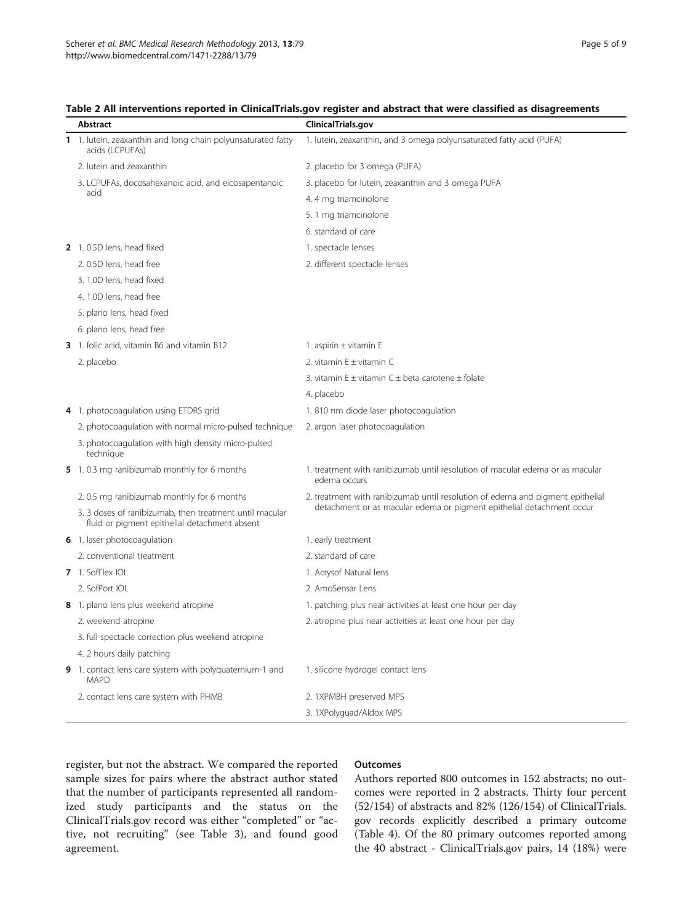| Abstract                                                                                                 | ClinicalTrials.gov                                                                            |  |  |
|----------------------------------------------------------------------------------------------------------|-----------------------------------------------------------------------------------------------|--|--|
| 1 1. lutein, zeaxanthin and long chain polyunsaturated fatty<br>acids (LCPUFAs)                          | 1. lutein, zeaxanthin, and 3 omega polyunsaturated fatty acid (PUFA)                          |  |  |
| 2. lutein and zeaxanthin                                                                                 | 2. placebo for 3 omega (PUFA)                                                                 |  |  |
| 3. LCPUFAs, docosahexanoic acid, and eicosapentanoic                                                     | 3. placebo for lutein, zeaxanthin and 3 omega PUFA                                            |  |  |
| acid                                                                                                     | 4.4 mg triamcinolone                                                                          |  |  |
|                                                                                                          | 5. 1 mg triamcinolone                                                                         |  |  |
|                                                                                                          | 6. standard of care                                                                           |  |  |
| 2 1.0.5D lens, head fixed                                                                                | 1. spectacle lenses                                                                           |  |  |
| 2.0.5D lens, head free                                                                                   | 2. different spectacle lenses                                                                 |  |  |
| 3. 1.0D lens, head fixed                                                                                 |                                                                                               |  |  |
| 4. 1.0D lens, head free                                                                                  |                                                                                               |  |  |
| 5. plano lens, head fixed                                                                                |                                                                                               |  |  |
| 6. plano lens, head free                                                                                 |                                                                                               |  |  |
| 3 1. folic acid, vitamin B6 and vitamin B12                                                              | 1. aspirin $\pm$ vitamin E                                                                    |  |  |
| 2. placebo                                                                                               | 2. vitamin $E \pm$ vitamin C                                                                  |  |  |
|                                                                                                          | 3. vitamin E $\pm$ vitamin C $\pm$ beta carotene $\pm$ folate                                 |  |  |
|                                                                                                          | 4. placebo                                                                                    |  |  |
| 4 1. photocoagulation using ETDRS grid                                                                   | 1.810 nm diode laser photocoagulation                                                         |  |  |
| 2. photocoagulation with normal micro-pulsed technique                                                   | 2. argon laser photocoagulation                                                               |  |  |
| 3. photocoagulation with high density micro-pulsed<br>technique                                          |                                                                                               |  |  |
| 5 1.0.3 mg ranibizumab monthly for 6 months                                                              | 1. treatment with ranibizumab until resolution of macular edema or as macular<br>edema occurs |  |  |
| 2.0.5 mg ranibizumab monthly for 6 months                                                                | 2. treatment with ranibizumab until resolution of edema and pigment epithelial                |  |  |
| 3. 3 doses of ranibizumab, then treatment until macular<br>fluid or pigment epithelial detachment absent | detachment or as macular edema or pigment epithelial detachment occur                         |  |  |
| 6 1. laser photocoagulation                                                                              | 1. early treatment                                                                            |  |  |
| 2. conventional treatment                                                                                | 2. standard of care                                                                           |  |  |
| 7 1. SofFlex IOL                                                                                         | 1. Acrysof Natural lens                                                                       |  |  |
| 2. SofPort IOL                                                                                           | 2. AmoSensar Lens                                                                             |  |  |
| 8 1. plano lens plus weekend atropine                                                                    | 1. patching plus near activities at least one hour per day                                    |  |  |
| 2. weekend atropine                                                                                      | 2. atropine plus near activities at least one hour per day                                    |  |  |
| 3. full spectacle correction plus weekend atropine                                                       |                                                                                               |  |  |
| 4. 2 hours daily patching                                                                                |                                                                                               |  |  |
| 9 1. contact lens care system with polyquaternium-1 and<br><b>MAPD</b>                                   | 1. silicone hydrogel contact lens                                                             |  |  |
| 2. contact lens care system with PHMB                                                                    | 2. 1XPMBH preserved MPS                                                                       |  |  |
|                                                                                                          | 3. 1XPolyguad/Aldox MPS                                                                       |  |  |

#### <span id="page-4-0"></span>Table 2 All interventions reported in ClinicalTrials.gov register and abstract that were classified as disagreements

register, but not the abstract. We compared the reported sample sizes for pairs where the abstract author stated that the number of participants represented all randomized study participants and the status on the ClinicalTrials.gov record was either "completed" or "active, not recruiting" (see Table [3](#page-5-0)), and found good agreement.

#### **Outcomes**

Authors reported 800 outcomes in 152 abstracts; no outcomes were reported in 2 abstracts. Thirty four percent (52/154) of abstracts and 82% (126/154) of ClinicalTrials. gov records explicitly described a primary outcome (Table [4\)](#page-5-0). Of the 80 primary outcomes reported among the 40 abstract - ClinicalTrials.gov pairs, 14 (18%) were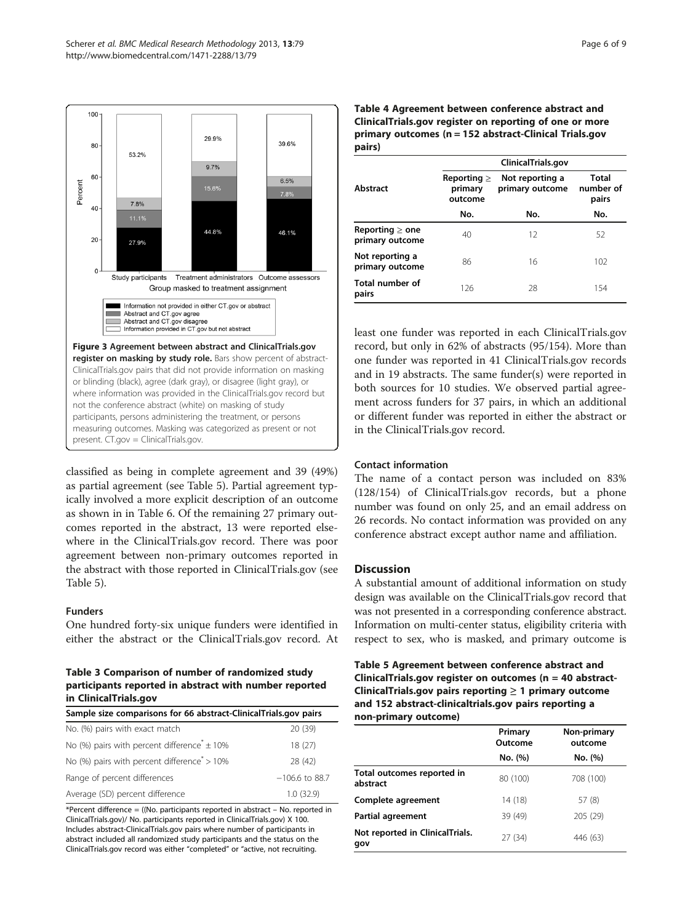<span id="page-5-0"></span>

classified as being in complete agreement and 39 (49%) as partial agreement (see Table 5). Partial agreement typically involved a more explicit description of an outcome as shown in in Table [6](#page-6-0). Of the remaining 27 primary outcomes reported in the abstract, 13 were reported elsewhere in the ClinicalTrials.gov record. There was poor agreement between non-primary outcomes reported in the abstract with those reported in ClinicalTrials.gov (see Table 5).

#### Funders

One hundred forty-six unique funders were identified in either the abstract or the ClinicalTrials.gov record. At

Table 3 Comparison of number of randomized study participants reported in abstract with number reported in ClinicalTrials.gov

| Sample size comparisons for 66 abstract-ClinicalTrials.gov pairs       |                  |  |  |  |
|------------------------------------------------------------------------|------------------|--|--|--|
| No. (%) pairs with exact match                                         | 20 (39)          |  |  |  |
| No (%) pairs with percent difference $\pm$ 10%                         | 18(27)           |  |  |  |
| No $%$ ) pairs with percent difference <sup><math>*</math></sup> > 10% | 28 (42)          |  |  |  |
| Range of percent differences                                           | $-106.6$ to 88.7 |  |  |  |
| Average (SD) percent difference                                        | 1.0(32.9)        |  |  |  |

\*Percent difference = ((No. participants reported in abstract – No. reported in ClinicalTrials.gov)/ No. participants reported in ClinicalTrials.gov) X 100. Includes abstract-ClinicalTrials.gov pairs where number of participants in abstract included all randomized study participants and the status on the ClinicalTrials.gov record was either "completed" or "active, not recruiting.

| Table 4 Agreement between conference abstract and       |
|---------------------------------------------------------|
| ClinicalTrials.gov register on reporting of one or more |
| primary outcomes (n = 152 abstract-Clinical Trials.gov  |
| pairs)                                                  |

|                                         | ClinicalTrials.gov                     |                                    |                             |  |  |
|-----------------------------------------|----------------------------------------|------------------------------------|-----------------------------|--|--|
| Abstract                                | Reporting $\geq$<br>primary<br>outcome | Not reporting a<br>primary outcome | Total<br>number of<br>pairs |  |  |
|                                         | No.                                    | No.                                | No.                         |  |  |
| Reporting $\geq$ one<br>primary outcome | 40                                     | 12                                 | 52                          |  |  |
| Not reporting a<br>primary outcome      | 86                                     | 16                                 | 102                         |  |  |
| <b>Total number of</b><br>pairs         | 126                                    | 28                                 | 154                         |  |  |

least one funder was reported in each ClinicalTrials.gov record, but only in 62% of abstracts (95/154). More than one funder was reported in 41 ClinicalTrials.gov records and in 19 abstracts. The same funder(s) were reported in both sources for 10 studies. We observed partial agreement across funders for 37 pairs, in which an additional or different funder was reported in either the abstract or in the ClinicalTrials.gov record.

#### Contact information

The name of a contact person was included on 83% (128/154) of ClinicalTrials.gov records, but a phone number was found on only 25, and an email address on 26 records. No contact information was provided on any conference abstract except author name and affiliation.

#### **Discussion**

A substantial amount of additional information on study design was available on the ClinicalTrials.gov record that was not presented in a corresponding conference abstract. Information on multi-center status, eligibility criteria with respect to sex, who is masked, and primary outcome is

Table 5 Agreement between conference abstract and ClinicalTrials.gov register on outcomes ( $n = 40$  abstract-ClinicalTrials.gov pairs reporting  $\geq 1$  primary outcome and 152 abstract-clinicaltrials.gov pairs reporting a non-primary outcome)

|                                        | Primary<br>Outcome | Non-primary<br>outcome |
|----------------------------------------|--------------------|------------------------|
|                                        | No. (%)            | No. (%)                |
| Total outcomes reported in<br>abstract | 80 (100)           | 708 (100)              |
| Complete agreement                     | 14 (18)            | 57 (8)                 |
| Partial agreement                      | 39 (49)            | 205 (29)               |
| Not reported in ClinicalTrials.<br>gov | 27(34)             | 446 (63)               |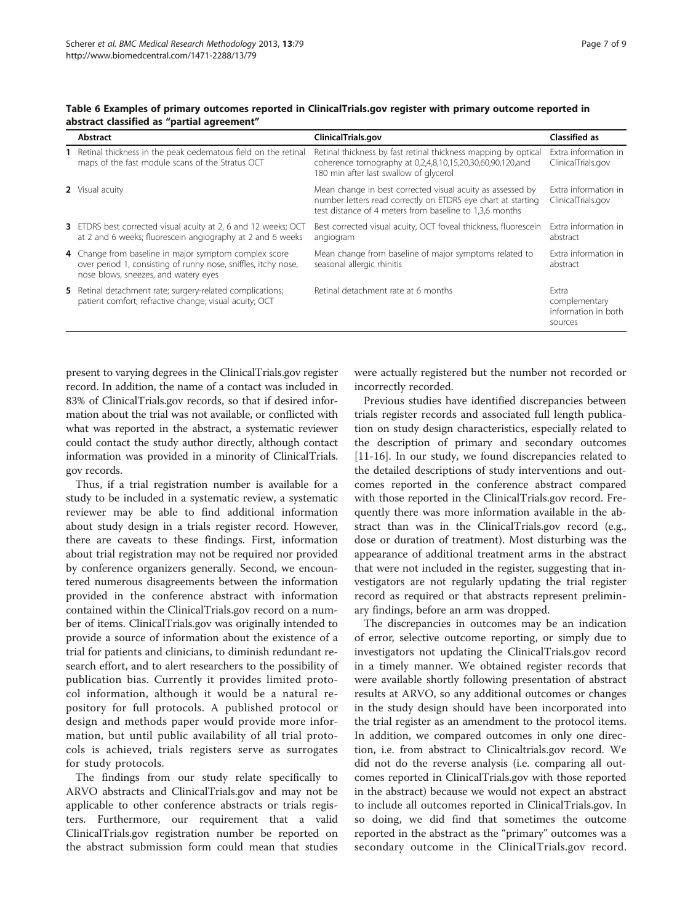| Abstract                                                                                                                                                        | ClinicalTrials.gov                                                                                                                                                                    | <b>Classified as</b>                                            |  |  |
|-----------------------------------------------------------------------------------------------------------------------------------------------------------------|---------------------------------------------------------------------------------------------------------------------------------------------------------------------------------------|-----------------------------------------------------------------|--|--|
| 1 Retinal thickness in the peak oedematous field on the retinal<br>maps of the fast module scans of the Stratus OCT                                             | Retinal thickness by fast retinal thickness mapping by optical<br>coherence tomography at 0,2,4,8,10,15,20,30,60,90,120,and<br>180 min after last swallow of glycerol                 | Extra information in<br>ClinicalTrials.gov                      |  |  |
| 2 Visual acuity                                                                                                                                                 | Mean change in best corrected visual acuity as assessed by<br>number letters read correctly on ETDRS eye chart at starting<br>test distance of 4 meters from baseline to 1.3.6 months | Extra information in<br>ClinicalTrials.gov                      |  |  |
| 3 ETDRS best corrected visual acuity at 2, 6 and 12 weeks; OCT<br>at 2 and 6 weeks; fluorescein angiography at 2 and 6 weeks                                    | Best corrected visual acuity, OCT foveal thickness, fluorescein<br>angiogram                                                                                                          | Extra information in<br>abstract                                |  |  |
| 4 Change from baseline in major symptom complex score<br>over period 1, consisting of runny nose, sniffles, itchy nose,<br>nose blows, sneezes, and watery eyes | Mean change from baseline of major symptoms related to<br>seasonal allergic rhinitis                                                                                                  | Extra information in<br>abstract                                |  |  |
| 5 Retinal detachment rate; surgery-related complications;<br>patient comfort; refractive change; visual acuity; OCT                                             | Retinal detachment rate at 6 months                                                                                                                                                   | <b>Extra</b><br>complementary<br>information in both<br>sources |  |  |

<span id="page-6-0"></span>Table 6 Examples of primary outcomes reported in ClinicalTrials.gov register with primary outcome reported in abstract classified as "partial agreement"

present to varying degrees in the ClinicalTrials.gov register record. In addition, the name of a contact was included in 83% of ClinicalTrials.gov records, so that if desired information about the trial was not available, or conflicted with what was reported in the abstract, a systematic reviewer could contact the study author directly, although contact information was provided in a minority of ClinicalTrials. gov records.

Thus, if a trial registration number is available for a study to be included in a systematic review, a systematic reviewer may be able to find additional information about study design in a trials register record. However, there are caveats to these findings. First, information about trial registration may not be required nor provided by conference organizers generally. Second, we encountered numerous disagreements between the information provided in the conference abstract with information contained within the ClinicalTrials.gov record on a number of items. ClinicalTrials.gov was originally intended to provide a source of information about the existence of a trial for patients and clinicians, to diminish redundant research effort, and to alert researchers to the possibility of publication bias. Currently it provides limited protocol information, although it would be a natural repository for full protocols. A published protocol or design and methods paper would provide more information, but until public availability of all trial protocols is achieved, trials registers serve as surrogates for study protocols.

The findings from our study relate specifically to ARVO abstracts and ClinicalTrials.gov and may not be applicable to other conference abstracts or trials registers. Furthermore, our requirement that a valid ClinicalTrials.gov registration number be reported on the abstract submission form could mean that studies

were actually registered but the number not recorded or incorrectly recorded.

Previous studies have identified discrepancies between trials register records and associated full length publication on study design characteristics, especially related to the description of primary and secondary outcomes [[11-16](#page-8-0)]. In our study, we found discrepancies related to the detailed descriptions of study interventions and outcomes reported in the conference abstract compared with those reported in the ClinicalTrials.gov record. Frequently there was more information available in the abstract than was in the ClinicalTrials.gov record (e.g., dose or duration of treatment). Most disturbing was the appearance of additional treatment arms in the abstract that were not included in the register, suggesting that investigators are not regularly updating the trial register record as required or that abstracts represent preliminary findings, before an arm was dropped.

The discrepancies in outcomes may be an indication of error, selective outcome reporting, or simply due to investigators not updating the ClinicalTrials.gov record in a timely manner. We obtained register records that were available shortly following presentation of abstract results at ARVO, so any additional outcomes or changes in the study design should have been incorporated into the trial register as an amendment to the protocol items. In addition, we compared outcomes in only one direction, i.e. from abstract to Clinicaltrials.gov record. We did not do the reverse analysis (i.e. comparing all outcomes reported in ClinicalTrials.gov with those reported in the abstract) because we would not expect an abstract to include all outcomes reported in ClinicalTrials.gov. In so doing, we did find that sometimes the outcome reported in the abstract as the "primary" outcomes was a secondary outcome in the ClinicalTrials.gov record.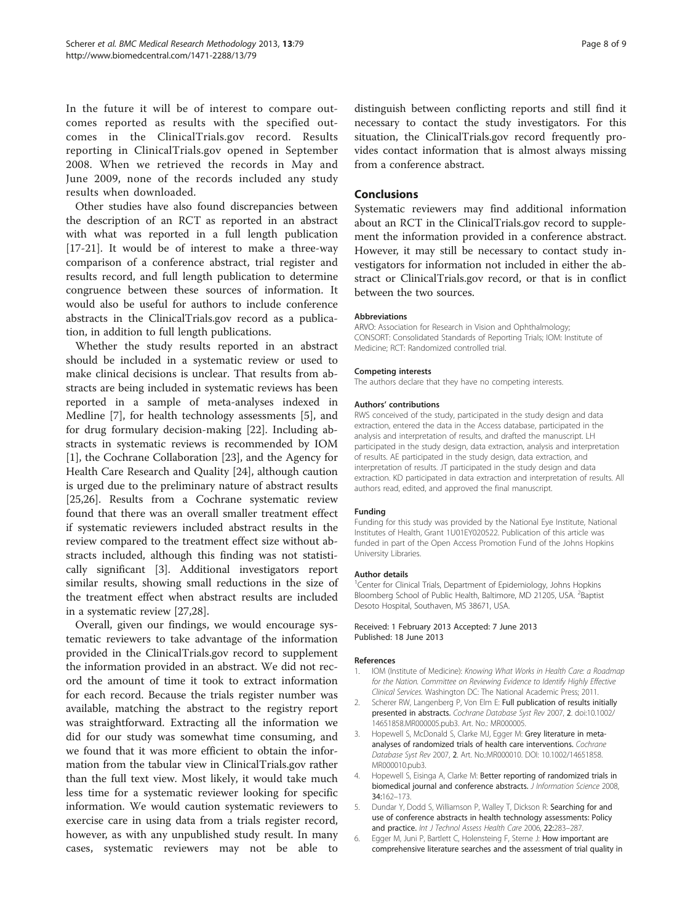<span id="page-7-0"></span>In the future it will be of interest to compare outcomes reported as results with the specified outcomes in the ClinicalTrials.gov record. Results reporting in ClinicalTrials.gov opened in September 2008. When we retrieved the records in May and June 2009, none of the records included any study results when downloaded.

Other studies have also found discrepancies between the description of an RCT as reported in an abstract with what was reported in a full length publication [[17-21](#page-8-0)]. It would be of interest to make a three-way comparison of a conference abstract, trial register and results record, and full length publication to determine congruence between these sources of information. It would also be useful for authors to include conference abstracts in the ClinicalTrials.gov record as a publication, in addition to full length publications.

Whether the study results reported in an abstract should be included in a systematic review or used to make clinical decisions is unclear. That results from abstracts are being included in systematic reviews has been reported in a sample of meta-analyses indexed in Medline [\[7](#page-8-0)], for health technology assessments [5], and for drug formulary decision-making [[22\]](#page-8-0). Including abstracts in systematic reviews is recommended by IOM [1], the Cochrane Collaboration [\[23](#page-8-0)], and the Agency for Health Care Research and Quality [\[24\]](#page-8-0), although caution is urged due to the preliminary nature of abstract results [[25,26\]](#page-8-0). Results from a Cochrane systematic review found that there was an overall smaller treatment effect if systematic reviewers included abstract results in the review compared to the treatment effect size without abstracts included, although this finding was not statistically significant [3]. Additional investigators report similar results, showing small reductions in the size of the treatment effect when abstract results are included in a systematic review [[27,28\]](#page-8-0).

Overall, given our findings, we would encourage systematic reviewers to take advantage of the information provided in the ClinicalTrials.gov record to supplement the information provided in an abstract. We did not record the amount of time it took to extract information for each record. Because the trials register number was available, matching the abstract to the registry report was straightforward. Extracting all the information we did for our study was somewhat time consuming, and we found that it was more efficient to obtain the information from the tabular view in ClinicalTrials.gov rather than the full text view. Most likely, it would take much less time for a systematic reviewer looking for specific information. We would caution systematic reviewers to exercise care in using data from a trials register record, however, as with any unpublished study result. In many cases, systematic reviewers may not be able to distinguish between conflicting reports and still find it necessary to contact the study investigators. For this situation, the ClinicalTrials.gov record frequently provides contact information that is almost always missing from a conference abstract.

## Conclusions

Systematic reviewers may find additional information about an RCT in the ClinicalTrials.gov record to supplement the information provided in a conference abstract. However, it may still be necessary to contact study investigators for information not included in either the abstract or ClinicalTrials.gov record, or that is in conflict between the two sources.

#### Abbreviations

ARVO: Association for Research in Vision and Ophthalmology; CONSORT: Consolidated Standards of Reporting Trials; IOM: Institute of Medicine; RCT: Randomized controlled trial.

#### Competing interests

The authors declare that they have no competing interests.

#### Authors' contributions

RWS conceived of the study, participated in the study design and data extraction, entered the data in the Access database, participated in the analysis and interpretation of results, and drafted the manuscript. LH participated in the study design, data extraction, analysis and interpretation of results. AE participated in the study design, data extraction, and interpretation of results. JT participated in the study design and data extraction. KD participated in data extraction and interpretation of results. All authors read, edited, and approved the final manuscript.

#### Funding

Funding for this study was provided by the National Eye Institute, National Institutes of Health, Grant 1U01EY020522. Publication of this article was funded in part of the Open Access Promotion Fund of the Johns Hopkins University Libraries.

#### Author details

<sup>1</sup> Center for Clinical Trials, Department of Epidemiology, Johns Hopkins Bloomberg School of Public Health, Baltimore, MD 21205, USA. <sup>2</sup>Baptist Desoto Hospital, Southaven, MS 38671, USA.

#### Received: 1 February 2013 Accepted: 7 June 2013 Published: 18 June 2013

#### References

- 1. IOM (Institute of Medicine): Knowing What Works in Health Care: a Roadmap for the Nation. Committee on Reviewing Evidence to Identify Highly Effective Clinical Services. Washington DC: The National Academic Press; 2011.
- 2. Scherer RW, Langenberg P, Von Elm E: Full publication of results initially presented in abstracts. Cochrane Database Syst Rev 2007, 2. doi:[10.1002/](http://dx.doi.org/10.1002/14651858.MR000005.pub3) [14651858.MR000005.pub3.](http://dx.doi.org/10.1002/14651858.MR000005.pub3) Art. No.: MR000005.
- 3. Hopewell S, McDonald S, Clarke MJ, Egger M: Grey literature in metaanalyses of randomized trials of health care interventions. Cochrane Database Syst Rev 2007, 2. Art. No.:MR000010. DOI: [10.1002/14651858.](http://dx.doi.org/10.1002/14651858.MR000010.pub3) [MR000010.pub3](http://dx.doi.org/10.1002/14651858.MR000010.pub3).
- 4. Hopewell S, Eisinga A, Clarke M: Better reporting of randomized trials in biomedical journal and conference abstracts. J Information Science 2008, 34:162–173.
- 5. Dundar Y, Dodd S, Williamson P, Walley T, Dickson R: Searching for and use of conference abstracts in health technology assessments: Policy and practice. Int J Technol Assess Health Care 2006, 22:283–287.
- 6. Egger M, Juni P, Bartlett C, Holensteing F, Sterne J: How important are comprehensive literature searches and the assessment of trial quality in